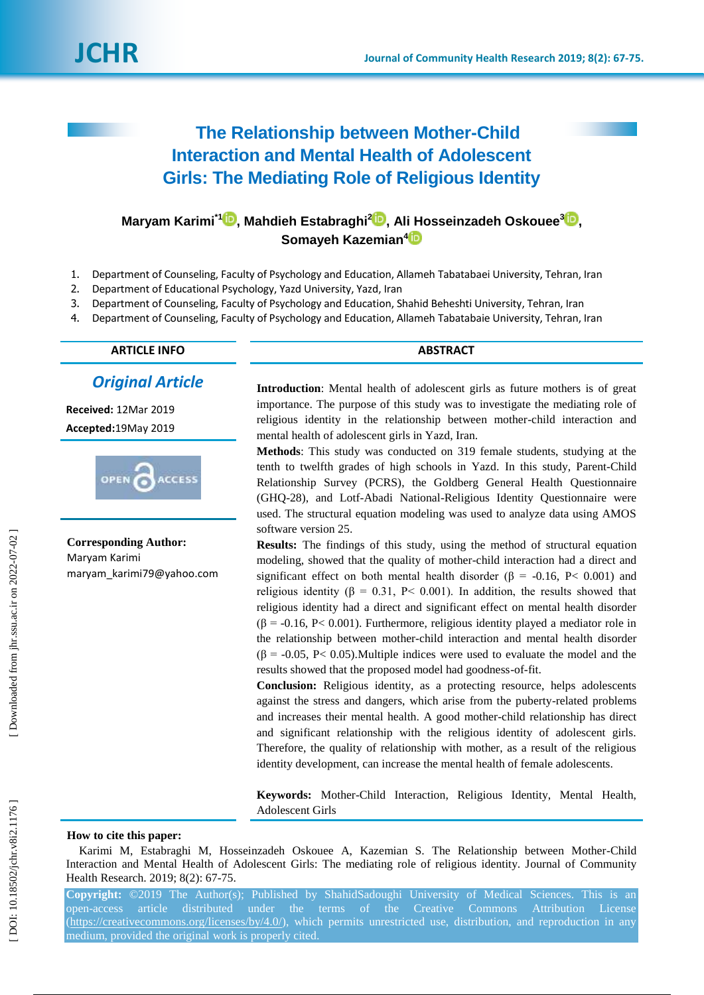

# **The Relationship between Mother -Child Interaction and Mental Health of Adolescent Girls: The Mediating Role of Religious Identity**

## **Maryam Karimi\*[1](https://orcid.org/0000-0002-5157-2450) , Mahdieh Estabraghi 2 [,](https://orcid.org/0000-0001-8688-0587) Ali Hosseinzadeh Oskouee [3](https://orcid.org/0000-0002-5577-9264) , Somayeh Kazemian [4](https://orcid.org/0000-0001-8425-7361)**

- 1. Department of Counseling, Faculty of Psychology and Education, Allameh Tabatabaei University, Tehran, Iran
- 2. Department of Educational Psychology, Yazd University, Yazd, Iran
- 3. Department of Counseling, Faculty of Psychology and Education, Shahid Beheshti University, Tehran, Iran
- 4. Department of Counseling, Faculty of Psychology and Education, Allameh Tabatabaie University, Tehran, Iran

**ARTICLE INFO ABSTRACT**

### *Original Article*

**Received:** 12Mar 201 9 **Accepted:**19May 201 9



**Corresponding Author:** Maryam Karimi maryam\_karimi79@yahoo.com

**Introduction**: Mental health of adolescent girls as future mothers is of great importance. The purpose of this study was to investigate the mediating role of religious identity in the relationship between mother -child interaction and mental health of adolescent girls in Yazd, Iran.

**Method s**: This study was conducted on 319 female students, studying at the tenth to twelfth grades of high schools in Yazd. In this study, Parent -Child Relationship Survey (PCRS), the Goldberg General Health Questionnaire (GHQ -28), and Lotf-Abadi National -Religious Identity Questionnaire were used. The structural equation modeling was used to analyze data using AMOS software version 25.

**Results:** The findings of this study, using the method of structural equation modeling, showed that the quality of mother -child interaction had a direct and significant effect on both mental health disorder ( $\beta$  = -0.16, P< 0.001) and religious identity (β = 0.31, P < 0.001). In addition, the results showed that religious identity had a direct and significant effect on mental health disorder  $(\beta = -0.16, P < 0.001)$ . Furthermore, religious identity played a mediator role in the relationship between mother -child interaction and mental health disorder  $(\beta = -0.05, P < 0.05)$ . Multiple indices were used to evaluate the model and the results showed that the proposed model had goodness -of-fit.

**Conclusion:** Religious identity, as a protecting resource, helps adolescents against the stress and dangers, which arise from the puberty -related problems and increases their mental health. A good mother -child relationship has direct and significant relationship with the religious identity of adolescent girls. Therefore, the quality of relationship with mother, as a result of the religious identity development, can increase the mental health of female adolescents.

**Keywords:** Mother -Child Interaction, Religious Identity, Mental Health, Adolescent Girls

#### **How to cite this paper:**

Karimi M, Estabraghi M, Hosseinzadeh Oskouee A, Kazemian S. The Relationship between Mother -Child Interaction and Mental Health of Adolescent Girls: The mediating role of religious identity. Journal of Community Health Research. 2019; 8(2): 67-75.

**Copyright:** ©201 9 The Author(s); Published by ShahidSadoughi University of Medical Sciences. This is an open -access article distributed under the terms of the Creative Commons Attribution License [\(https://creativecommons.org/licenses/by/4.0/\)](https://creativecommons.org/licenses/by/4.0/), which permits unrestricted use, distribution, and reproduction in any medium, provided the original work is properly cited.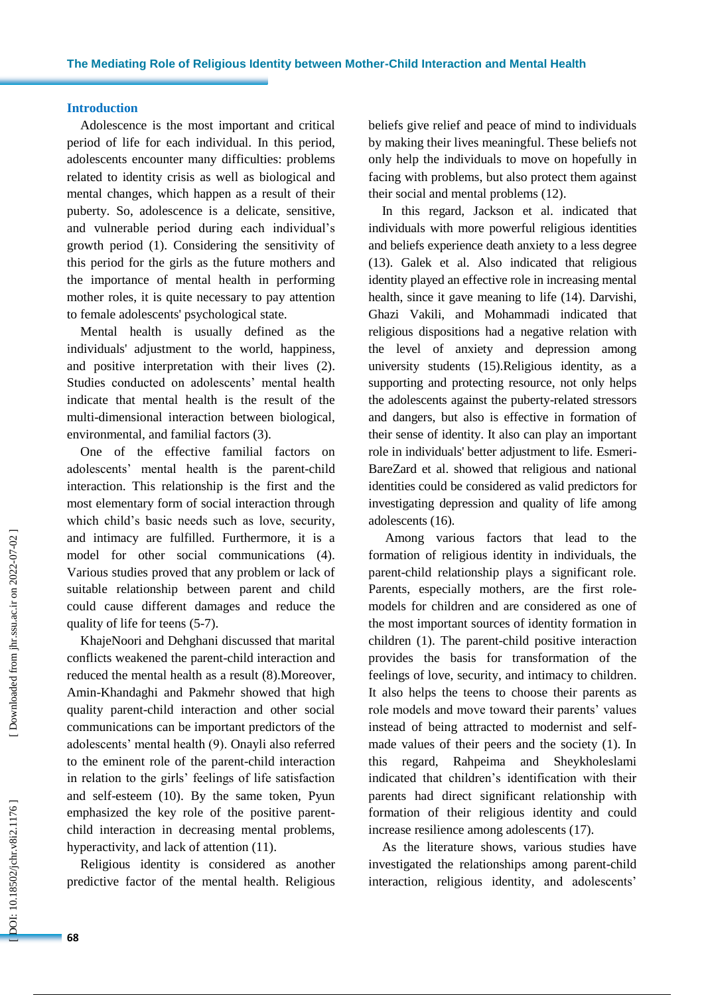#### **Introduction**

Adolescence is the most important and critical period of life for each individual. In this period, adolescents encounter many difficulties : problems related to identity crisis as well as biological and mental changes , which happen as a result of their puberty. So, adolescence is a delicate, sensitive , and vulnerable period during each individual's growth period (1). Considering the sensitivity of this period for the girls as the future mothers and the importance of mental health in performing mother roles , it is quite necessary to pay attention to female adolescents' psychological state.

Mental health is usually defined as the individuals' adjustment to the world, happiness , and positive interpretation with their lives (2). Studies conducted on adolescents' mental health indicate that mental health is the result of the multi -dimensional interaction between biological, environmental , and familial factors (3).

One of the effective familial factors on adolescents' mental health is the parent -child interaction. This relationship is the first and the most elementary form of social interaction through which child's basic needs such as love, security , and intimacy are fulfilled. Furthermore, it is a model for other social communications (4). Various studies prove d that any problem or lack of suitable relationship between parent and child could cause different damages and reduc e the quality of life for teens (5 -7).

KhajeNoori and Dehghani discussed that marital conflicts weakened the parent -child interaction and reduced the mental health as a result (8).Moreover, Amin -Khandaghi and Pakmehr showed that high quality parent -child interaction and other social communications can be important predictors of the adolescents' mental health (9). Onayli also referred to the eminent role of the parent -child interaction in relation to the girls' feelings of life satisfaction and self-esteem (10). By the same token, Pyun emphasize d the key role of the positive parent child interaction in decreasing mental problems, hyperactivity , and lack of attention (11).

Religious identity is considered as another predictive factor of the mental health. Religious beliefs give relief and peace of mind to individuals by making their lives meaningful. These beliefs not only help the individuals to move on hopefully in facing with problems, but also protect them against their social and mental problems (12).

In this regard, Jackson et al. indicated that individuals with more powerful religious identities and beliefs experience death anxiety to a less degree (13). Galek et al . Also indicate d that religious identity played an effective role in increasing mental health , since it gave meaning to life (14). Darvishi, Ghazi Vakili, and Mohammadi indicated that religious dispositions had a negative relation with the level of anxiety and depression among university students (15).Religious identity, as a supporting and protecting resource, not only helps the adolescents against the puberty -related stressors and dangers, but also is effective in formation of their sense of identity. It also can play an important role in individuals' better adjustment to life. Esmeri - BareZard et al. showed that religious and national identities could be considered as valid predictors for investigating depression and quality of life among adolescents (16).

Among various factors that lead to the formation of religious identity in individuals, the parent -child relationship plays a significant role. Parents, especially mothers, are the first rolemodels for children and are considered as one of the most important sources of identity formation in children (1). The parent -child positive interaction provides the basis for transformation of the feelings of love, security , and intimacy to children. It also helps the teens to choose their parents as role models and move toward their parents' values instead of being attracted to modernist and self made values of their peers and the society (1). In this regard, Rahpeima and Sheykholeslami indicated that children's identification with their parents ha d direct significant relationship with formation of their religious identity and could increase resilience among adolescents (17).

As the literature show s, various studies have investigated the relationships among parent -child interaction, religious identity , and adolescents'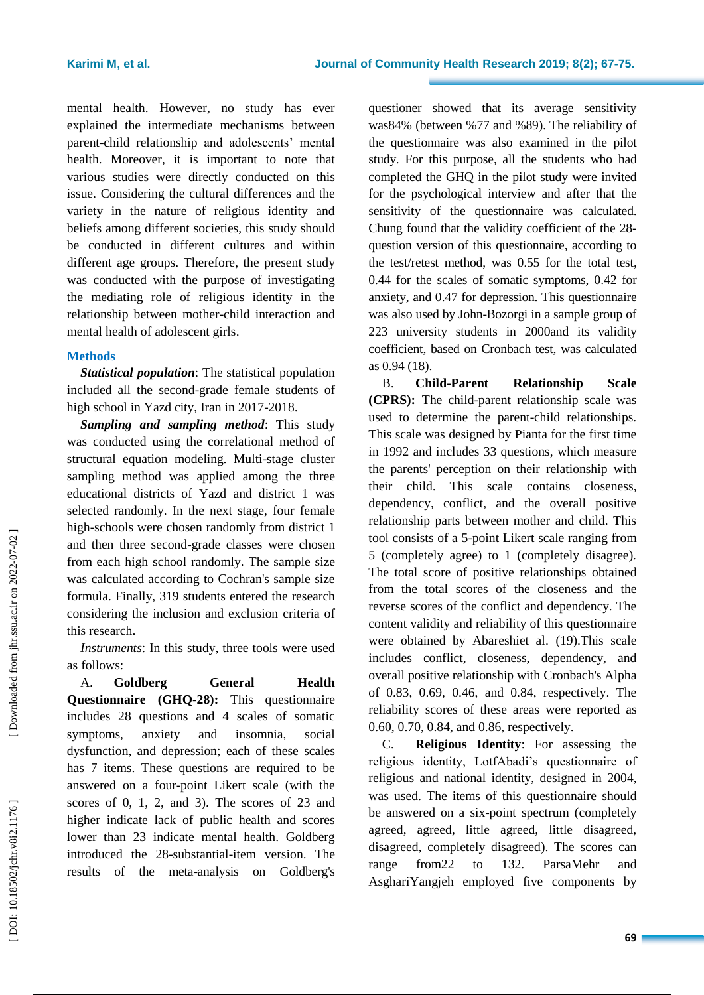mental health. However, no study has ever explained the intermediate mechanisms between parent -child relationship and adolescents' mental health. Moreover, it is important to note that various studies were directly conducted on this issue. Considering the cultural differences and the variety in the nature of religious identity and beliefs among different societies, this study should be conducted in different cultures and within different age groups. Therefore, the present study was conducted with the purpose of investigating the mediating role of religious identity in the relationship between mother -child interaction and mental health of adolescent girls .

#### **Method s**

*Statistical population* : The statistical population included all the second -grade female students of high school in Yazd city, Iran in 2017 -2018.

*Sampling and sampling method*: This study was conducted using the correlational method of structural equation modeling. Multi -stage cluster sampling method was applied among the three educational districts of Yazd and district 1 was selected randomly. In the next stage, four female high -schools were chosen randomly from district 1 and then three second -grade classes were chosen from each high school randomly. The sample size was calculated according to Cochran's sample size formula. Finally, 319 students entered th e research considering the inclusion and exclusion criteria of this research .

*Instruments*: In this study, three tools were used as follows:

A. **Goldberg General Health Questionnaire (GHQ -28) :** This questionnaire includes 28 questions and 4 scales of somatic symptoms, anxiety and insomnia, social dysfunction , and depression ; each of these scales has 7 items. These questions are required to be answered on a four -point Likert scale (with the scores of 0, 1, 2, and 3). The scores of 23 and higher indicate lack of public health and scores lower than 23 indicate mental health. Goldberg introduced the 28 -substantial -item version. The results of the meta -analysis on Goldberg's

questioner showed that its average sensitivity was84 % (between %77 and %89). The reliability of the questionnaire was also examined in the pilot study. For this purpose, all the students who had completed the GHQ in the pilot study were invited for the psychological interview and after that the sensitivity of the questionnaire was calculated. Chung found that the validity coefficient of the 28 question version of this questionnaire, according to the test/retest method, was 0 .55 for the total test, 0 .44 for the scales of somatic symptoms, 0 .42 for anxiety , and 0 .47 for depression. This questionnaire was als o used by John -Bozorgi in a sample group of 223 university students in 2000and its validity coefficient, based on Cronbach test, was calculated as 0 .94 (18).

B. **Child Relationship Scale (CPRS):** The child -parent relationship scale was used to determine the parent -child relationships. This scale was designed by Pianta for the first time in 1992 and includes 33 questions , which measure the parent s' perception on their relationship with their child. This scale contains closeness, dependency, conflict, and the overall positive relationship parts between mother and child. This tool consists of a 5 -point Likert scale ranging from 5 (completely agree) to 1 (completely disagree). The total score of positive relationships obtained from the total scores of the closeness and the reverse scores of the conflict and dependency. The content validity and reliability of this questionnaire were obtained by Abareshiet al. (19).This scale include s conflict, closeness, dependency, and overall positive relationship with Cronbach's Alpha of 0.83, 0.69, 0.46, and 0.84, respectively. The reliability scores of these areas were reported as 0.60, 0.70, 0.84 , and 0.86 , respectively.

C. **Religious Identity**: For assessing the religious identity, LotfAbadi's questionnaire of religious and national identity, designed in 2004, was used. The items of this questionnaire should be answered on a six -point spectrum (completely agreed, agreed, little agreed, little disagreed, disagreed, completely disagreed). The scores can range from22 to 132. ParsaMehr and AsghariYangjeh employed five components by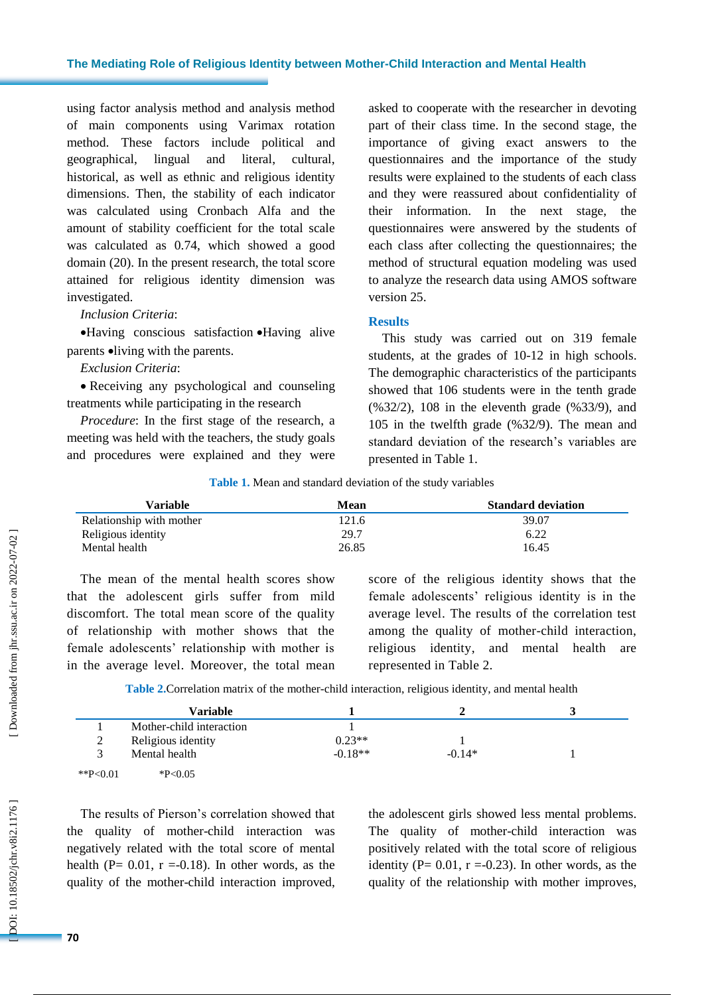#### **The Mediating Role of Religious Identity between Mother -Child Interaction and Mental Health**

using factor analysis method and analysis method of main components using Varimax rotation method. These factors include political and geographical, lingual and literal, cultural, historical, as well as ethnic and religious identity dimensions. Then , the stability of each indicator was calculated using Cronbach Alfa and the amount of stability coefficient for the total scale was calculated as 0 .74, which showed a good domain (20). In the present research, the total score attained for religious identity dimension was investigated.

#### *Inclusion Criteria* :

 Having conscious satisfaction Having alive parents  $\bullet$ living with the parents.

#### *Exclusion Criteria* :

 Receiving any psychological and counseling treatments while participating in the research

*Procedure*: In the first stage of the research, a meeting was held with the teachers, the study goals and procedures were explained and they were asked to cooperate with the researcher in devoting part of their class time. In the second stage, the importance of giving exact answers to the questionnaires and the importance of the study results were explained to the students of each class and they were reassured about confidentiality of their information. In the next stage, the questionnaires were answered by the students of each class after collecting the questionnaires; the method of structural equation modeling was used to analyze the research data using AMOS software version 25.

#### **Results**

This study was carried out on 319 female students, at the grades of 10 -12 in high schools. The demographic characteristics of the participants showed that 106 students were in the tenth grade (%32/2), 108 in the eleventh grade (%33/9), and 105 in the twelfth grade (%32/9). The mean and standard deviation of the research's variables are presented in Table 1.

**Table 1 .** Mean and standard deviation of the study variables

| Variable                 | Mean  | <b>Standard deviation</b> |
|--------------------------|-------|---------------------------|
| Relationship with mother | 121.6 | 39.07                     |
| Religious identity       | 29.7  | 6.22                      |
| Mental health            | 26.85 | 16.45                     |

The mean of the mental health scores show that the adolescent girls suffer from mild discomfort. The total mean score of the quality of relationship with mother shows that the female adolescents' relationship with mother is in the average level. Moreover, the total mean score of the religious identity shows that the female adolescents' religious identity is in the average level. The results of the correlation test among the quality of mother -child interaction, religious identity , and mental health are represented in Table 2.

Table 2. Correlation matrix of the mother-child interaction, religious identity, and mental health

|             | <b>Variable</b>          |           |          |  |
|-------------|--------------------------|-----------|----------|--|
|             | Mother-child interaction |           |          |  |
| 2<br>∠      | Religious identity       | $0.23**$  |          |  |
|             | Mental health            | $-0.18**$ | $-0.14*$ |  |
| **P< $0.01$ | $*P<0.05$                |           |          |  |

The results of Pierson's correlation showed that the quality of mother -child interaction was negatively related with the total score of mental health ( $P = 0.01$ ,  $r = -0.18$ ). In other words, as the quality of the mother -child interaction improved, the adolescent girls showed less mental problems. The quality of mother -child interaction was positively related with the total score of religious identity ( $P = 0.01$ ,  $r = -0.23$ ). In other words, as the quality of the relationship with mother improve s,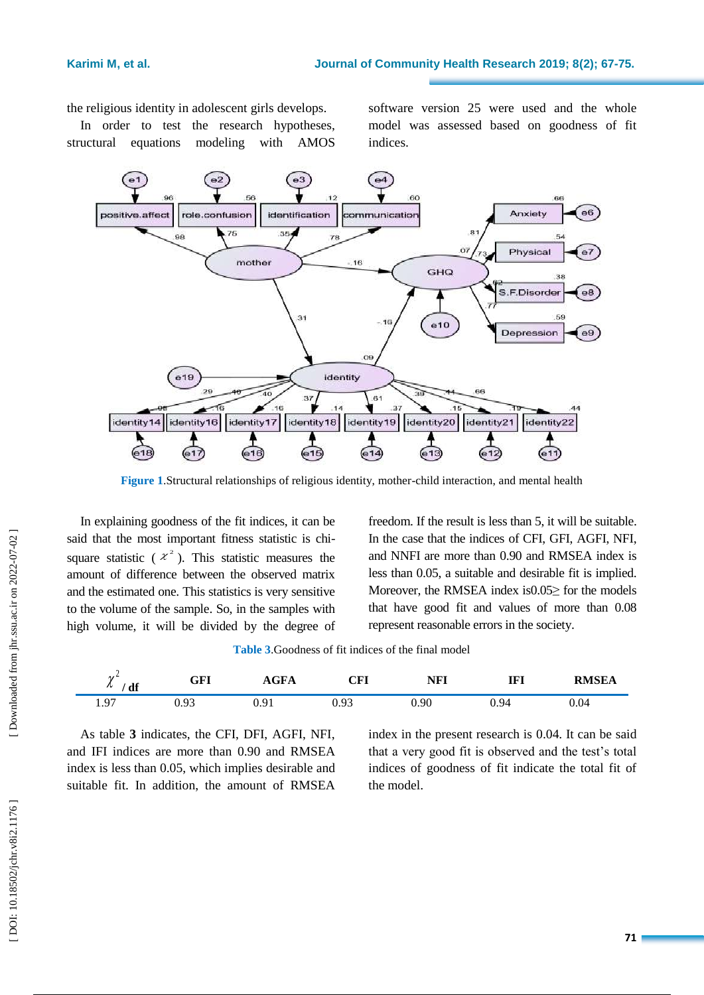the religious identity in adolescent girls develops.

In order to test the research hypotheses, structural equations modeling with AMOS

software version 25 were used and the whole model was assessed based on goodness of fit indices.



**Figure 1** .Structural relationships of religious identity, mother -child interaction , and mental health

In explaining goodness of the fit indices, it can be said that the most important fitness statistic is chi square statistic ( $x^2$ ). This statistic measures the amount of difference between the observed matrix and the estimated one. This statistics is very sensitive to the volume of the sample. So, in the samples with high volume, it will be divided by the degree of

freedom. If the result is less than 5, it will be suitable. In the case that the indices of CFI, GFI, AGFI, NFI , and NNFI are more than 0.90 and RMSEA index is less than 0.05, a suitable and desirable fit is implied. Moreover, the RMSEA index is 0.05 > for the models that have good fit and values of more than 0.08 represent reasonable errors in the society.

| $\overline{ }$<br>df<br>$\sim$ | GFI           | $\sim$ $\blacksquare$<br>AGFA | $\cap$ $\Gamma$ I<br>UĽL | <b>NFI</b> | тет<br>161 | <b>RMSEA</b> |
|--------------------------------|---------------|-------------------------------|--------------------------|------------|------------|--------------|
| 07<br><b>1.</b>                | . O?<br>U. YJ | ∪.∠⊥                          | 0.93                     | 0.90       | 0.94       | V.V4         |

As table **3** indicates, the CFI, DFI, AGFI, NFI , and IFI indices are more than 0.90 and RMSEA index is less than 0.05, which implies desirable and suitable fit. In addition, the amount of RMSEA

index in the present research is 0.04. It can be said that a very good fit is observed and the test's total indices of goodness of fit indicate the total fit of the model.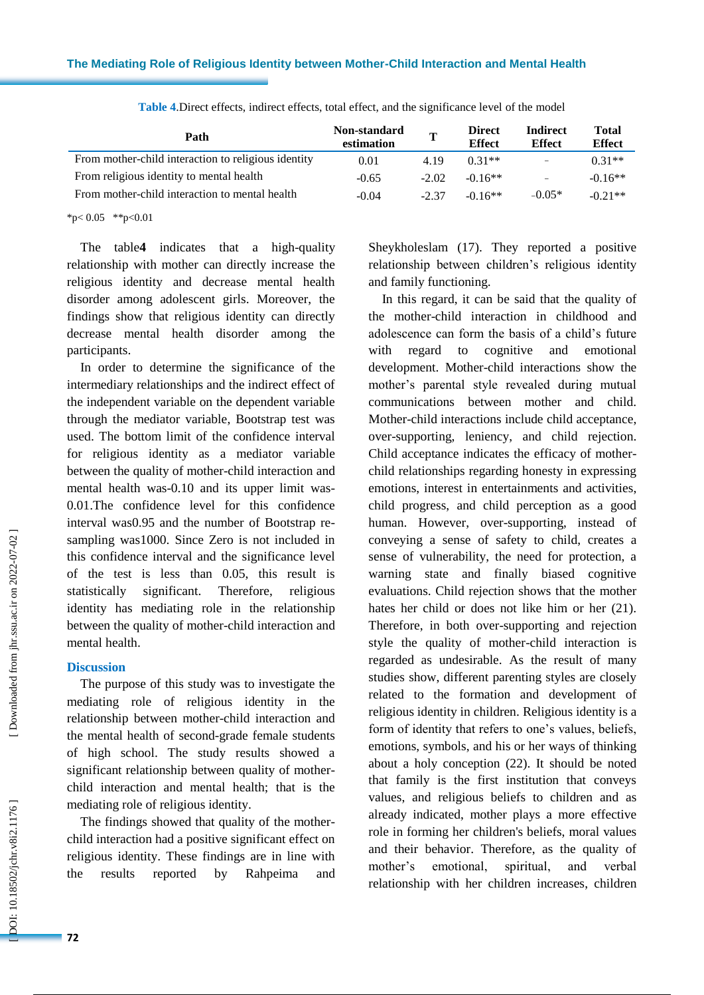| Path                                                | Non-standard<br>estimation | $\mathbf{T}$ | <b>Direct</b><br><b>Effect</b> | <b>Indirect</b><br><b>Effect</b> | <b>Total</b><br><b>Effect</b> |
|-----------------------------------------------------|----------------------------|--------------|--------------------------------|----------------------------------|-------------------------------|
| From mother-child interaction to religious identity | 0.01                       | 4.19         | $0.31**$                       | $\equiv$                         | $0.31**$                      |
| From religious identity to mental health            | $-0.65$                    | $-2.02$      | $-0.16**$                      | -                                | $-0.16**$                     |
| From mother-child interaction to mental health      | $-0.04$                    | $-2.37$      | $-0.16**$                      | $-0.05*$                         | $-0.21**$                     |

**Table 4** .Direct effects, indirect effects, total effect, and the significance level of the model

 $*p<0.05$  \*\*p<0.01

The table **4** indicates that a high -quality relationship with mother can directly increase the religious identity and decrease mental health disorder among adolescent girls. Moreover, the findings show that religious identity can directly decrease mental health disorder among the participants .

In order to determine the significance of the intermediary relationships and the indirect effect of the independent variable on the dependent variable through the mediator variable, Bootstrap test was used. The bottom limit of the confidence interval for religious identity as a mediator variable between the quality of mother -child interaction and mental health was -0.10 and its upper limit was - 0.01.The confidence level for this confidence interval was0.95 and the number of Bootstrap re sampling was1000. Since Zero is not included in this confidence interval and the significance level of the test is less than 0.05, this result is statistically significant. Therefore, religious identity has mediating role in the relationship between the quality of mother -child interaction and mental health.

#### **Discussion**

The purpose of this study was to investigate the mediating role of religious identity in the relationship between mother -child interaction and the mental health of second -grade female students of high school. The study results showed a significant relationship between quality of mother child interaction and mental health; that is the mediating role of religious identity.

The findings showed that quality of the mother child interaction had a positive significant effect on religious identity. These findings are in line with the results reported by Rahpeima and Sheykholeslam (17). They reported a positive relationship between children's religious identity and family functioning.

In this regard, it can be said that the quality of the mother -child interaction in childhood and adolescence can form the basis of a child's future with regard to cognitive and emotional development. Mother -child interactions show the mother's parental style revealed during mutual communications between mother and child. Mother -child interactions include child acceptance, over -supporting, leniency, and child rejection. Child acceptance indicates the efficacy of mother child relationships regarding honesty in expressing emotions, interest in entertainments and activities, child progress, and child perception as a good human. However, over -supporting, instead of conveying a sense of safety to child, creates a sense of vulnerability, the need for protection, a warning state and finally biased cognitive evaluations. Child rejection shows that the mother hates her child or does not like him or her (21). Therefore, in both over -supporting and rejection style the quality of mother -child interaction is regarded as undesirable. As the result of many studies show, different parenting styles are closely related to the formation and development of religious identity in children. Religious identity is a form of identity that refers to one's values, beliefs, emotions, symbols, and his or her ways of thinking about a holy conception (22). It should be noted that family is the first institution that conveys values, and religious beliefs to children and as already indicated, mother plays a more effective role in forming her children's beliefs, moral values and their behavior. Therefore, as the quality of mother's emotional, spiritual, and verbal relationship with her children increases, children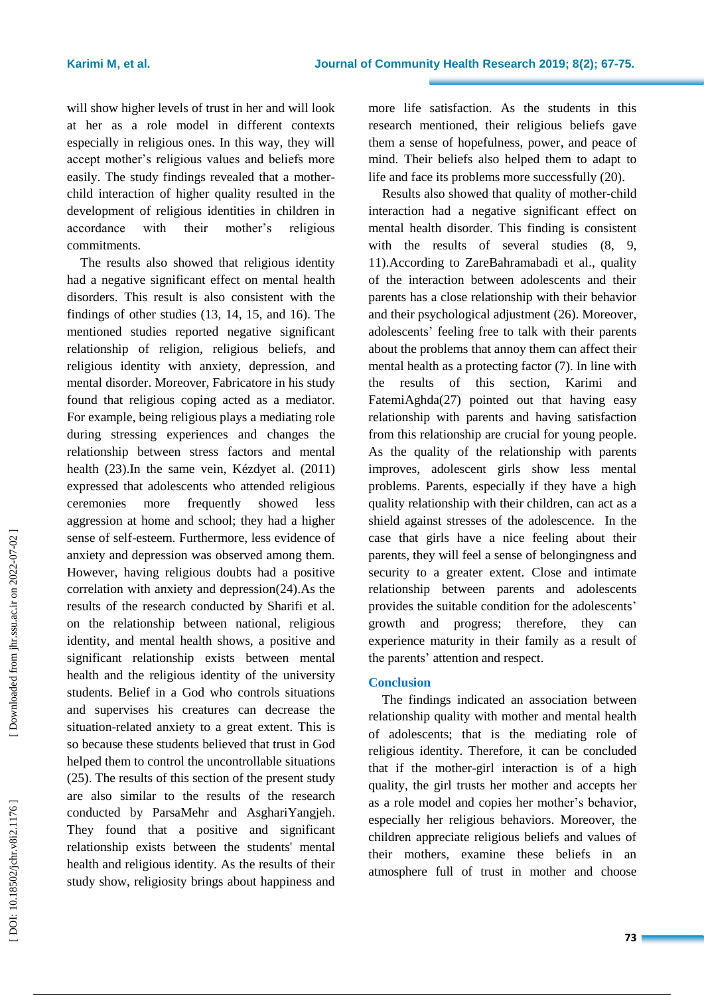will show higher levels of trust in her and will look at her as a role model in different contexts especially in religious ones. In this way, they will accept mother's religious values and beliefs more easily. The study findings revealed that a mother child interaction of higher quality resulted in the development of religious identities in children in accordance with their mother's religious commitments.

The results also showed that religious identity had a negative significant effect on mental health disorders. This result is also consistent with the findings of other studies (13, 14, 15, and 16). The mentioned studies reported negative significant relationship of religion, religious beliefs , and religious identity with anxiety, depression, and mental disorder. Moreover, Fabricatore in his study found that religious coping acted as a mediator. For example, being religious plays a mediating role during stressing experiences and changes the relationship between stress factors and mental health (23) .In the same vein, Kézdyet al. (2011) expressed that adolescents who attended religious ceremonies more frequently showed less aggression at home and school; they had a higher sense of self-esteem. Furthermore, less evidence of anxiety and depression was observed among them. However, having religious doubt s had a positive correlation with anxiety and depression(24) .As the results of the research conducted by Sharifi et al. on the relationship between national, religious identity , and mental health shows, a positive and significant relationship exists between mental health and the religious identity of the university students. Belief in a God who controls situations and supervises his creatures can decrease the situation -related anxiety to a great extent. This is so because these students believed that trust in God helped them to control the uncontrollable situations (25). The results of this section of the present study are also similar to the results of the research conducted by ParsaMehr and AsghariYangjeh. They found that a positive and significant relationship exists between the students' mental health and religious identity. As the results of their study show, religiosity brings about happiness and

more life satisfaction. As the students in this research mentioned, their religious beliefs gave them a sense of hopefulness, power , and peace of mind. Their beliefs also helped them to adapt to life and face its problems more successfully (20) .

Results also showed that quality of mother -child interaction had a negative significant effect on mental health disorder. This finding is consistent with the results of several studies  $(8, 9, 9)$ 11). According to ZareBahramabadi et al ., quality of the interaction between adolescents and their parents has a close relationship with their behavior and their psychological adjustment (26). Moreover, adolescents ' feeling free to talk with their parents about the problems that annoy them can affect their mental health as a protecting factor (7). In line with the results of this section, Karimi and FatemiAghda(27) pointed out that having easy relationship with parents and having satisfaction from this relationship are crucial for young people. As the quality of the relationship with parents improves, adolescent girls show less mental problems. Parents, especially if they have a high quality relationship with their children, can act as a shield against stresses of the adolescence. In the case that girls have a nice feeling about their parents, they will feel a sense of belongingness and security to a greater extent. Close and intimate relationship between parents and adolescents provides the suitable condition for the adolescents ' growth and progres s; therefore, they can experience maturity in their family as a result of the parents' attention and respect .

### **Conclusion**

The findings indicated an association between relationship quality with mother and mental health of adolescents; that is the mediating role of religious identity. Therefore, it can be concluded that if the mother -girl interaction is of a high quality, the girl trust s her mother and accepts her as a role model and copies her mother's behavior , especially her religious behaviors. Moreover, the children appreciate religious beliefs and values of their mothers, examine these beliefs in an atmosphere full of trust in mother and choose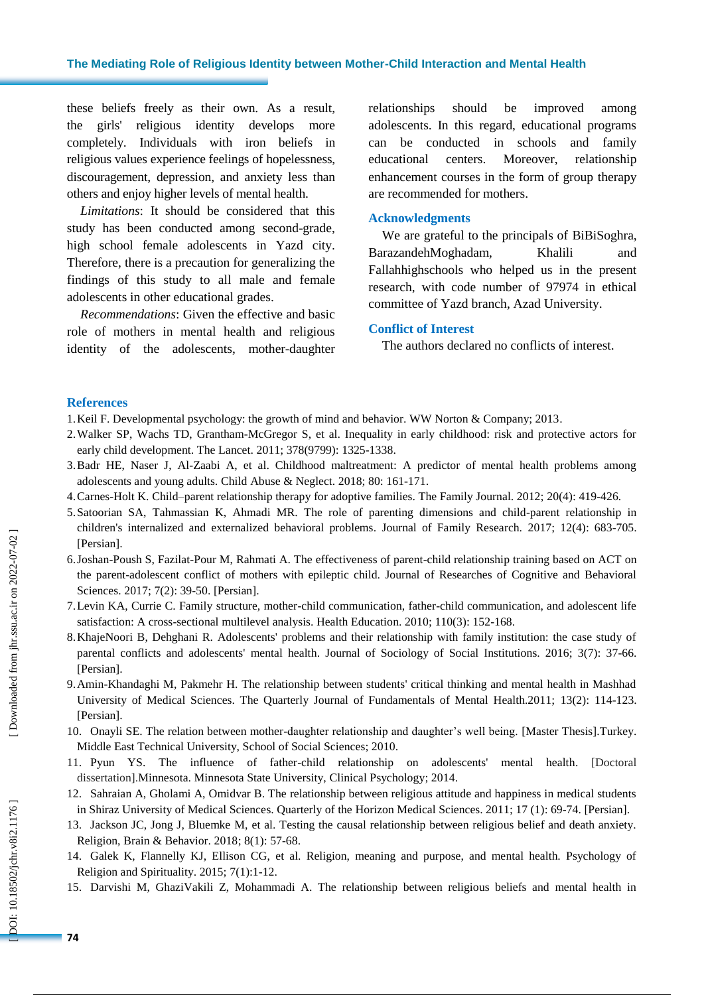these beliefs freely as their own. As a result, the girls' religious identity develops more completely. Individuals with iron beliefs in religious values experience feelings of hopelessness, discouragement, depression, and anxiety less than others and enjoy higher levels of mental health .

*Limitations* : It should be considered that this study has been conducted among second -grade, high school female adolescents in Yazd city. Therefore, there is a precaution for generalizing the findings of this study to all male and female adolescents in other educational grades.

*Recommendations*: Given the effective and basic role of mothers in mental health and religious identity of the adolescents, mother -daughter relationships should be improved among adolescents. In this regard, educational programs can be conducted in schools and family educational centers. Moreover, relationship enhancement courses in the form of group therapy are recommended for mothers .

#### **Acknowledgments**

We are grateful to the principals of BiBiSoghra, BarazandehMoghadam, Khalili and Fallahhighschools who helped us in the present research, with code number of 97974 in ethical committee of Yazd branch, Azad University.

#### **Conflict of Interest**

The authors declared no conflicts of interest.

#### **References**

- 1.Keil F. Developmental psychology: the growth of mind and behavior. WW Norton & Company; 2013 .
- 2.Walker SP, Wachs TD, Grantham -McGregor S, et al. Inequality in early childhood: risk and protective actors for early child development. The Lancet. 2011; 378(9799): 1325 -1338 .
- 3.Badr HE, Naser J, Al -Zaabi A, et al. Childhood maltreatment: A predictor of mental health problems among adolescents and young adults. Child Abuse & Neglect. 2018; 80: 161 - 171 .
- 4.Carnes -Holt K. Child –parent relationship therapy for adoptive families. The Family Journal. 2012; 20(4): 419 426.
- 5.Satoorian SA, Tahmassian K, Ahmadi MR. The role of parenting dimensions and child -parent relationship in children's internalized and externalized behavioral problems. Journal of Family Research. 2017; 12(4): 683 -705. [Persian] .
- 6.Joshan -Poush S, Fazilat -Pour M, Rahmati A. The effectiveness of parent -child relationship training based on ACT on the parent -adolescent conflict of mothers with epileptic child . Journal of Researches of Cognitive and Behavioral Sciences. 2017; 7(2): 39-50. [Persian].
- 7.Levin KA, Currie C. Family structure, mother -child communication, father -child communication, and adolescent life satisfaction: A cross-sectional multilevel analysis. Health Education. 2010; 110(3): 152-168.
- 8.KhajeNoori B, Dehghani R. Adolescents' problems and their relationship with family institution: the case study of parental conflicts and adolescents' mental health. Journal of Sociology of Social Institutions. 2016; 3(7): 37-66. [Persian] .
- 9.Amin -Khandaghi M, Pakmehr H. The relationship between students' critical thinking and mental health in Mashhad University of Medical Sciences. The Quarterly Journal of Fundamentals of Mental Health.2011; 13(2): 114-123. [Persian].
- 10. Onayli SE. The relation between mother -daughter relationship and daughter's well being. [Master Thesis].Turkey. Middle East Technical University, School of Social Sciences ; 2010.
- 11. Pyun YS. The influence of father -child relationship on adolescents' mental health . [Doctoral dissertation].Minnesota. Minnesota State University, Clinical Psychology; 2014 .
- 12. Sahraian A, Gholami A, Omidvar B. The relationship between religious attitude and happiness in medical students in Shiraz University of Medical Sciences. Ouarterly of the Horizon Medical Sciences. 2011; 17 (1): 69-74.
- 13. Jackson JC, Jong J, Bluemke M, et al. Testing the causal relationship between religious belief and death anxiety. Religion, Brain & Behavior. 2018; 8(1): 57-68.
- 14. Galek K, Flannelly KJ, Ellison CG, et al. Religion, meaning and purpose, and mental health. Psychology of Religion and Spirituality. 2015; 7(1):1 -12 .
- 15. Darvishi M, GhaziVakili Z, Mohammadi A. The relationship between religious beliefs and mental health in

DOI: 10.18502/jchr.v8i2.1176]